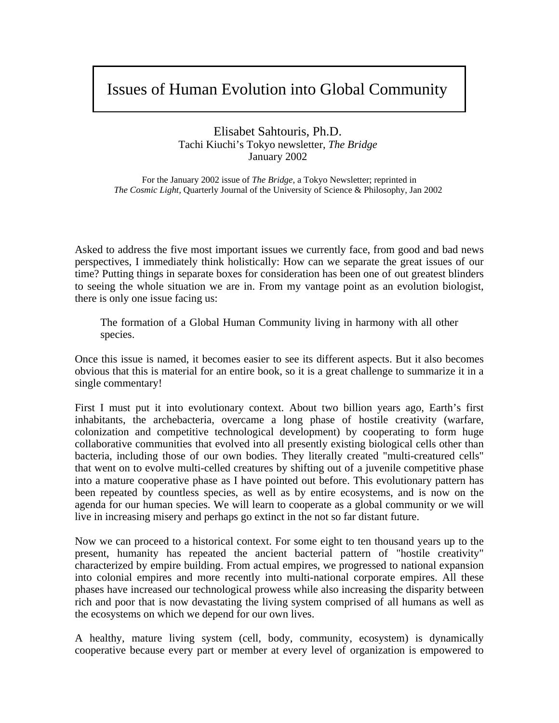# Issues of Human Evolution into Global Community

Elisabet Sahtouris, Ph.D. Tachi Kiuchi's Tokyo newsletter, *The Bridge* January 2002

For the January 2002 issue of *The Bridge*, a Tokyo Newsletter; reprinted in *The Cosmic Light,* Quarterly Journal of the University of Science & Philosophy, Jan 2002

Asked to address the five most important issues we currently face, from good and bad news perspectives, I immediately think holistically: How can we separate the great issues of our time? Putting things in separate boxes for consideration has been one of out greatest blinders to seeing the whole situation we are in. From my vantage point as an evolution biologist, there is only one issue facing us:

The formation of a Global Human Community living in harmony with all other species.

Once this issue is named, it becomes easier to see its different aspects. But it also becomes obvious that this is material for an entire book, so it is a great challenge to summarize it in a single commentary!

First I must put it into evolutionary context. About two billion years ago, Earth's first inhabitants, the archebacteria, overcame a long phase of hostile creativity (warfare, colonization and competitive technological development) by cooperating to form huge collaborative communities that evolved into all presently existing biological cells other than bacteria, including those of our own bodies. They literally created "multi-creatured cells" that went on to evolve multi-celled creatures by shifting out of a juvenile competitive phase into a mature cooperative phase as I have pointed out before. This evolutionary pattern has been repeated by countless species, as well as by entire ecosystems, and is now on the agenda for our human species. We will learn to cooperate as a global community or we will live in increasing misery and perhaps go extinct in the not so far distant future.

Now we can proceed to a historical context. For some eight to ten thousand years up to the present, humanity has repeated the ancient bacterial pattern of "hostile creativity" characterized by empire building. From actual empires, we progressed to national expansion into colonial empires and more recently into multi-national corporate empires. All these phases have increased our technological prowess while also increasing the disparity between rich and poor that is now devastating the living system comprised of all humans as well as the ecosystems on which we depend for our own lives.

A healthy, mature living system (cell, body, community, ecosystem) is dynamically cooperative because every part or member at every level of organization is empowered to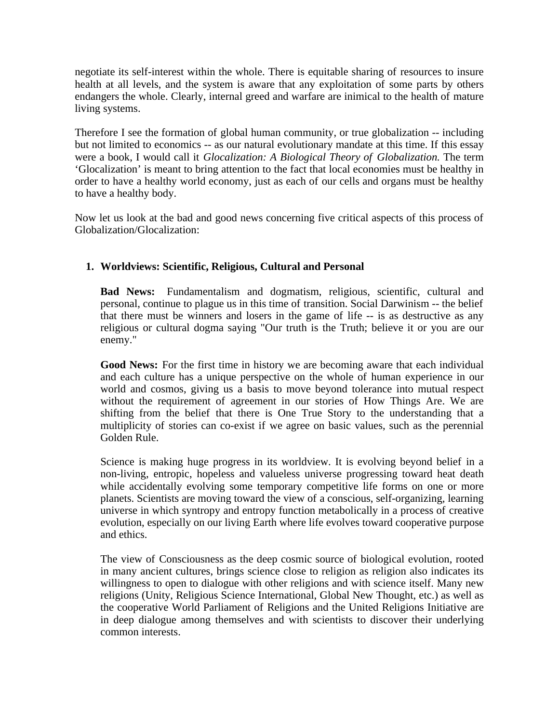negotiate its self-interest within the whole. There is equitable sharing of resources to insure health at all levels, and the system is aware that any exploitation of some parts by others endangers the whole. Clearly, internal greed and warfare are inimical to the health of mature living systems.

Therefore I see the formation of global human community, or true globalization -- including but not limited to economics -- as our natural evolutionary mandate at this time. If this essay were a book, I would call it *Glocalization: A Biological Theory of Globalization.* The term 'Glocalization' is meant to bring attention to the fact that local economies must be healthy in order to have a healthy world economy, just as each of our cells and organs must be healthy to have a healthy body.

Now let us look at the bad and good news concerning five critical aspects of this process of Globalization/Glocalization:

# **1. Worldviews: Scientific, Religious, Cultural and Personal**

**Bad News:** Fundamentalism and dogmatism, religious, scientific, cultural and personal, continue to plague us in this time of transition. Social Darwinism -- the belief that there must be winners and losers in the game of life -- is as destructive as any religious or cultural dogma saying "Our truth is the Truth; believe it or you are our enemy."

**Good News:** For the first time in history we are becoming aware that each individual and each culture has a unique perspective on the whole of human experience in our world and cosmos, giving us a basis to move beyond tolerance into mutual respect without the requirement of agreement in our stories of How Things Are. We are shifting from the belief that there is One True Story to the understanding that a multiplicity of stories can co-exist if we agree on basic values, such as the perennial Golden Rule.

Science is making huge progress in its worldview. It is evolving beyond belief in a non-living, entropic, hopeless and valueless universe progressing toward heat death while accidentally evolving some temporary competitive life forms on one or more planets. Scientists are moving toward the view of a conscious, self-organizing, learning universe in which syntropy and entropy function metabolically in a process of creative evolution, especially on our living Earth where life evolves toward cooperative purpose and ethics.

The view of Consciousness as the deep cosmic source of biological evolution, rooted in many ancient cultures, brings science close to religion as religion also indicates its willingness to open to dialogue with other religions and with science itself. Many new religions (Unity, Religious Science International, Global New Thought, etc.) as well as the cooperative World Parliament of Religions and the United Religions Initiative are in deep dialogue among themselves and with scientists to discover their underlying common interests.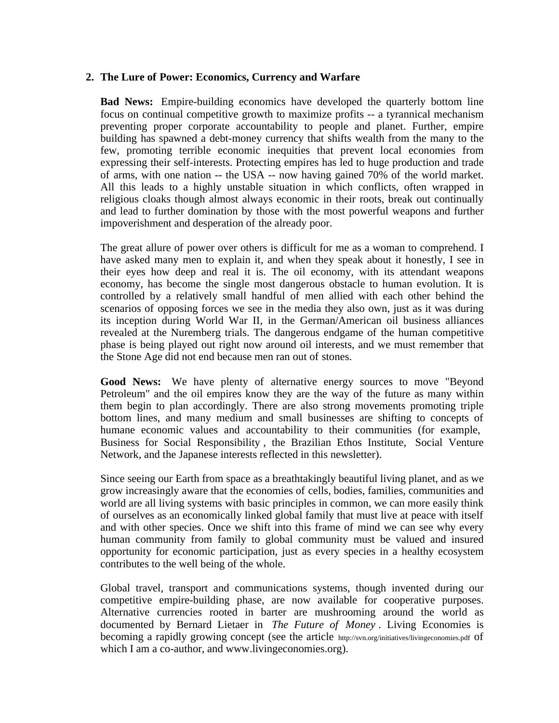## **2. The Lure of Power: Economics, Currency and Warfare**

**Bad News:** Empire-building economics have developed the quarterly bottom line focus on continual competitive growth to maximize profits -- a tyrannical mechanism preventing proper corporate accountability to people and planet. Further, empire building has spawned a debt-money currency that shifts wealth from the many to the few, promoting terrible economic inequities that prevent local economies from expressing their self-interests. Protecting empires has led to huge production and trade of arms, with one nation -- the USA -- now having gained 70% of the world market. All this leads to a highly unstable situation in which conflicts, often wrapped in religious cloaks though almost always economic in their roots, break out continually and lead to further domination by those with the most powerful weapons and further impoverishment and desperation of the already poor.

The great allure of power over others is difficult for me as a woman to comprehend. I have asked many men to explain it, and when they speak about it honestly, I see in their eyes how deep and real it is. The oil economy, with its attendant weapons economy, has become the single most dangerous obstacle to human evolution. It is controlled by a relatively small handful of men allied with each other behind the scenarios of opposing forces we see in the media they also own, just as it was during its inception during World War II, in the German/American oil business alliances revealed at the Nuremberg trials. The dangerous endgame of the human competitive phase is being played out right now around oil interests, and we must remember that the Stone Age did not end because men ran out of stones.

**Good News:** We have plenty of alternative energy sources to move "Beyond Petroleum" and the oil empires know they are the way of the future as many within them begin to plan accordingly. There are also strong movements promoting triple bottom lines, and many medium and small businesses are shifting to concepts of humane economic values and accountability to their communities (for example, Business for Social Responsibility , the Brazilian Ethos Institute, Social Venture Network, and the Japanese interests reflected in this newsletter).

Since seeing our Earth from space as a breathtakingly beautiful living planet, and as we grow increasingly aware that the economies of cells, bodies, families, communities and world are all living systems with basic principles in common, we can more easily think of ourselves as an economically linked global family that must live at peace with itself and with other species. Once we shift into this frame of mind we can see why every human community from family to global community must be valued and insured opportunity for economic participation, just as every species in a healthy ecosystem contributes to the well being of the whole.

Global travel, transport and communications systems, though invented during our competitive empire-building phase, are now available for cooperative purposes. Alternative currencies rooted in barter are mushrooming around the world as documented by Bernard Lietaer in *The Future of Money* . Living Economies is becoming a rapidly growing concept (see the article http://svn.org/initiatives/livingeconomies.pdf of which I am a co-author, and www.livingeconomies.org).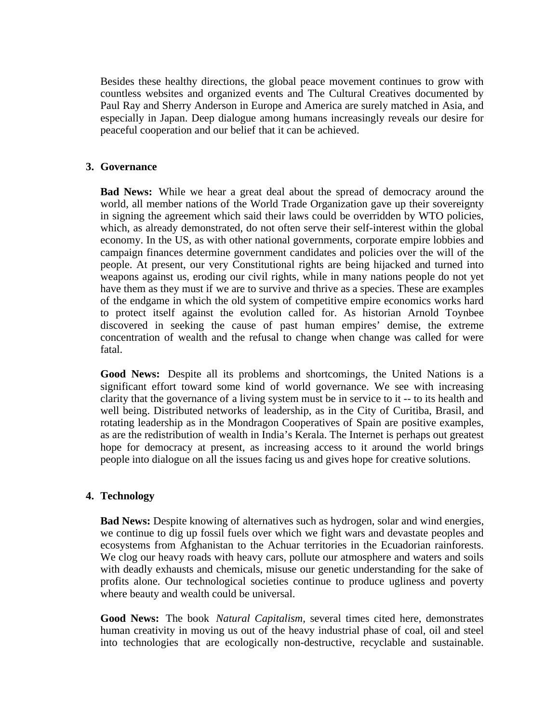Besides these healthy directions, the global peace movement continues to grow with countless websites and organized events and The Cultural Creatives documented by Paul Ray and Sherry Anderson in Europe and America are surely matched in Asia, and especially in Japan. Deep dialogue among humans increasingly reveals our desire for peaceful cooperation and our belief that it can be achieved.

### **3. Governance**

**Bad News:** While we hear a great deal about the spread of democracy around the world, all member nations of the World Trade Organization gave up their sovereignty in signing the agreement which said their laws could be overridden by WTO policies, which, as already demonstrated, do not often serve their self-interest within the global economy. In the US, as with other national governments, corporate empire lobbies and campaign finances determine government candidates and policies over the will of the people. At present, our very Constitutional rights are being hijacked and turned into weapons against us, eroding our civil rights, while in many nations people do not yet have them as they must if we are to survive and thrive as a species. These are examples of the endgame in which the old system of competitive empire economics works hard to protect itself against the evolution called for. As historian Arnold Toynbee discovered in seeking the cause of past human empires' demise, the extreme concentration of wealth and the refusal to change when change was called for were fatal.

**Good News:** Despite all its problems and shortcomings, the United Nations is a significant effort toward some kind of world governance. We see with increasing clarity that the governance of a living system must be in service to it -- to its health and well being. Distributed networks of leadership, as in the City of Curitiba, Brasil, and rotating leadership as in the Mondragon Cooperatives of Spain are positive examples, as are the redistribution of wealth in India's Kerala. The Internet is perhaps out greatest hope for democracy at present, as increasing access to it around the world brings people into dialogue on all the issues facing us and gives hope for creative solutions.

#### **4. Technology**

**Bad News:** Despite knowing of alternatives such as hydrogen, solar and wind energies, we continue to dig up fossil fuels over which we fight wars and devastate peoples and ecosystems from Afghanistan to the Achuar territories in the Ecuadorian rainforests. We clog our heavy roads with heavy cars, pollute our atmosphere and waters and soils with deadly exhausts and chemicals, misuse our genetic understanding for the sake of profits alone. Our technological societies continue to produce ugliness and poverty where beauty and wealth could be universal.

**Good News:** The book *Natural Capitalism,* several times cited here, demonstrates human creativity in moving us out of the heavy industrial phase of coal, oil and steel into technologies that are ecologically non-destructive, recyclable and sustainable.